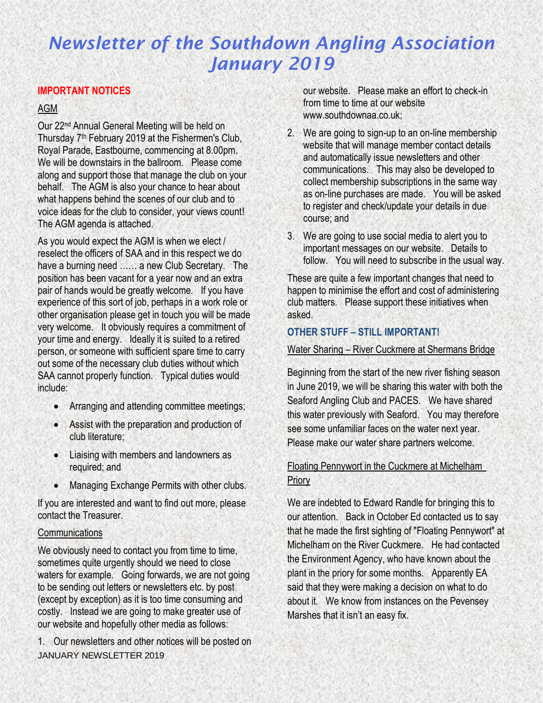### **IMPORTANT NOTICES**

### AGM

Our 22nd Annual General Meeting will be held on Thursday 7<sup>th</sup> February 2019 at the Fishermen's Club, Royal Parade, Eastbourne, commencing at 8.00pm. We will be downstairs in the ballroom. Please come along and support those that manage the club on your behalf. The AGM is also your chance to hear about what happens behind the scenes of our club and to voice ideas for the club to consider, your views count! The AGM agenda is attached.

As you would expect the AGM is when we elect / reselect the officers of SAA and in this respect we do have a burning need …… a new Club Secretary. The position has been vacant for a year now and an extra pair of hands would be greatly welcome. If you have experience of this sort of job, perhaps in a work role or other organisation please get in touch you will be made very welcome. It obviously requires a commitment of your time and energy. Ideally it is suited to a retired person, or someone with sufficient spare time to carry out some of the necessary club duties without which SAA cannot properly function. Typical duties would include:

- Arranging and attending committee meetings;
- Assist with the preparation and production of club literature;
- Liaising with members and landowners as required; and
- Managing Exchange Permits with other clubs.

If you are interested and want to find out more, please contact the Treasurer.

#### **Communications**

We obviously need to contact you from time to time, sometimes quite urgently should we need to close waters for example. Going forwards, we are not going to be sending out letters or newsletters etc. by post (except by exception) as it is too time consuming and costly. Instead we are going to make greater use of our website and hopefully other media as follows:

JANUARY NEWSLETTER 2019 1. Our newsletters and other notices will be posted on our website. Please make an effort to check-in from time to time at our website www.southdownaa.co.uk;

- 2. We are going to sign-up to an on-line membership website that will manage member contact details and automatically issue newsletters and other communications. This may also be developed to collect membership subscriptions in the same way as on-line purchases are made. You will be asked to register and check/update your details in due course; and
- 3. We are going to use social media to alert you to important messages on our website. Details to follow. You will need to subscribe in the usual way.

These are quite a few important changes that need to happen to minimise the effort and cost of administering club matters. Please support these initiatives when asked.

### **OTHER STUFF – STILL IMPORTANT!**

#### Water Sharing – River Cuckmere at Shermans Bridge

Beginning from the start of the new river fishing season in June 2019, we will be sharing this water with both the Seaford Angling Club and PACES. We have shared this water previously with Seaford. You may therefore see some unfamiliar faces on the water next year. Please make our water share partners welcome.

## Floating Pennywort in the Cuckmere at Michelham **Priory**

We are indebted to Edward Randle for bringing this to our attention. Back in October Ed contacted us to say that he made the first sighting of "Floating Pennywort" at Michelham on the River Cuckmere. He had contacted the Environment Agency, who have known about the plant in the priory for some months. Apparently EA said that they were making a decision on what to do about it. We know from instances on the Pevensey Marshes that it isn't an easy fix.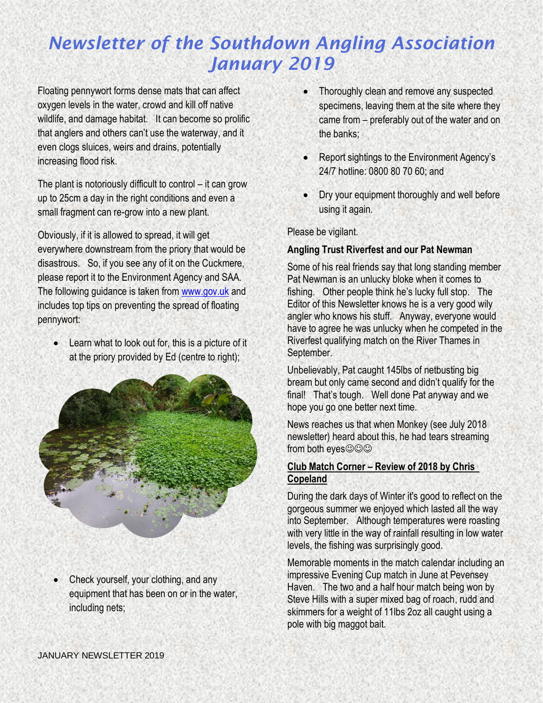Floating pennywort forms dense mats that can affect oxygen levels in the water, crowd and kill off native wildlife, and damage habitat. It can become so prolific that anglers and others can't use the waterway, and it even clogs sluices, weirs and drains, potentially increasing flood risk.

The plant is notoriously difficult to control – it can grow up to 25cm a day in the right conditions and even a small fragment can re-grow into a new plant.

Obviously, if it is allowed to spread, it will get everywhere downstream from the priory that would be disastrous. So, if you see any of it on the Cuckmere, please report it to the Environment Agency and SAA. The following guidance is taken from [www.gov.uk](http://www.gov.uk/) and includes top tips on preventing the spread of floating pennywort:

• Learn what to look out for, this is a picture of it at the priory provided by Ed (centre to right);



• Check yourself, your clothing, and any equipment that has been on or in the water, including nets;

- Thoroughly clean and remove any suspected specimens, leaving them at the site where they came from – preferably out of the water and on the banks;
- Report sightings to the Environment Agency's 24/7 hotline: 0800 80 70 60; and
- Dry your equipment thoroughly and well before using it again.

Please be vigilant.

### **Angling Trust Riverfest and our Pat Newman**

Some of his real friends say that long standing member Pat Newman is an unlucky bloke when it comes to fishing. Other people think he's lucky full stop. The Editor of this Newsletter knows he is a very good wily angler who knows his stuff. Anyway, everyone would have to agree he was unlucky when he competed in the Riverfest qualifying match on the River Thames in September.

Unbelievably, Pat caught 145lbs of netbusting big bream but only came second and didn't qualify for the final! That's tough. Well done Pat anyway and we hope you go one better next time.

News reaches us that when Monkey (see July 2018 newsletter) heard about this, he had tears streaming from both eyes $\textcircled{\odot}\textcircled{\odot}$ 

### **Club Match Corner – Review of 2018 by Chris Copeland**

During the dark days of Winter it's good to reflect on the gorgeous summer we enjoyed which lasted all the way into September. Although temperatures were roasting with very little in the way of rainfall resulting in low water levels, the fishing was surprisingly good.

Memorable moments in the match calendar including an impressive Evening Cup match in June at Pevensey Haven. The two and a half hour match being won by Steve Hills with a super mixed bag of roach, rudd and skimmers for a weight of 11lbs 2oz all caught using a pole with big maggot bait.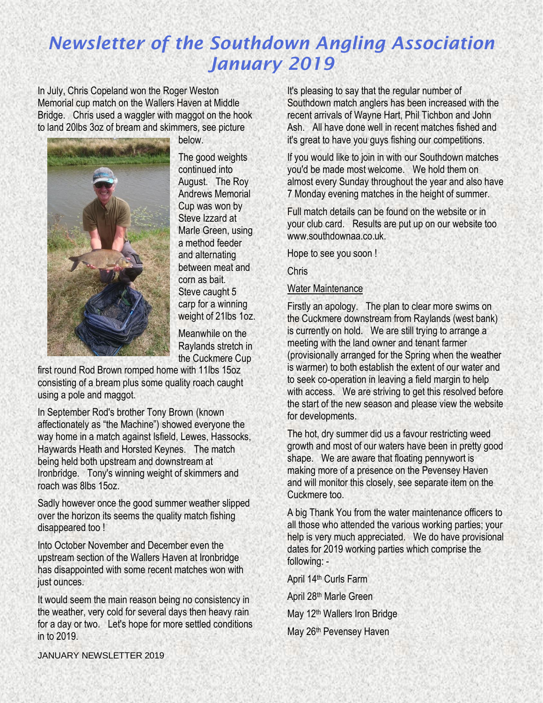In July, Chris Copeland won the Roger Weston Memorial cup match on the Wallers Haven at Middle Bridge. Chris used a waggler with maggot on the hook to land 20lbs 3oz of bream and skimmers, see picture



below.

The good weights continued into August. The Roy Andrews Memorial Cup was won by Steve Izzard at Marle Green, using a method feeder and alternating between meat and corn as bait. Steve caught 5 carp for a winning weight of 21lbs 1oz.

Meanwhile on the Raylands stretch in the Cuckmere Cup

first round Rod Brown romped home with 11lbs 15oz consisting of a bream plus some quality roach caught using a pole and maggot.

In September Rod's brother Tony Brown (known affectionately as "the Machine") showed everyone the way home in a match against Isfield, Lewes, Hassocks, Haywards Heath and Horsted Keynes. The match being held both upstream and downstream at Ironbridge. Tony's winning weight of skimmers and roach was 8lbs 15oz.

Sadly however once the good summer weather slipped over the horizon its seems the quality match fishing disappeared too !

Into October November and December even the upstream section of the Wallers Haven at Ironbridge has disappointed with some recent matches won with just ounces.

It would seem the main reason being no consistency in the weather, very cold for several days then heavy rain for a day or two. Let's hope for more settled conditions in to 2019.

It's pleasing to say that the regular number of Southdown match anglers has been increased with the recent arrivals of Wayne Hart, Phil Tichbon and John Ash. All have done well in recent matches fished and it's great to have you guys fishing our competitions.

If you would like to join in with our Southdown matches you'd be made most welcome. We hold them on almost every Sunday throughout the year and also have 7 Monday evening matches in the height of summer.

Full match details can be found on the website or in your club card. Results are put up on our website too www.southdownaa.co.uk.

Hope to see you soon !

Chris

### Water Maintenance

Firstly an apology. The plan to clear more swims on the Cuckmere downstream from Raylands (west bank) is currently on hold. We are still trying to arrange a meeting with the land owner and tenant farmer (provisionally arranged for the Spring when the weather is warmer) to both establish the extent of our water and to seek co-operation in leaving a field margin to help with access. We are striving to get this resolved before the start of the new season and please view the website for developments.

The hot, dry summer did us a favour restricting weed growth and most of our waters have been in pretty good shape. We are aware that floating pennywort is making more of a presence on the Pevensey Haven and will monitor this closely, see separate item on the Cuckmere too.

A big Thank You from the water maintenance officers to all those who attended the various working parties; your help is very much appreciated. We do have provisional dates for 2019 working parties which comprise the following: -

April 14th Curls Farm

April 28th Marle Green

- May 12th Wallers Iron Bridge
- May 26<sup>th</sup> Pevensey Haven

JANUARY NEWSLETTER 2019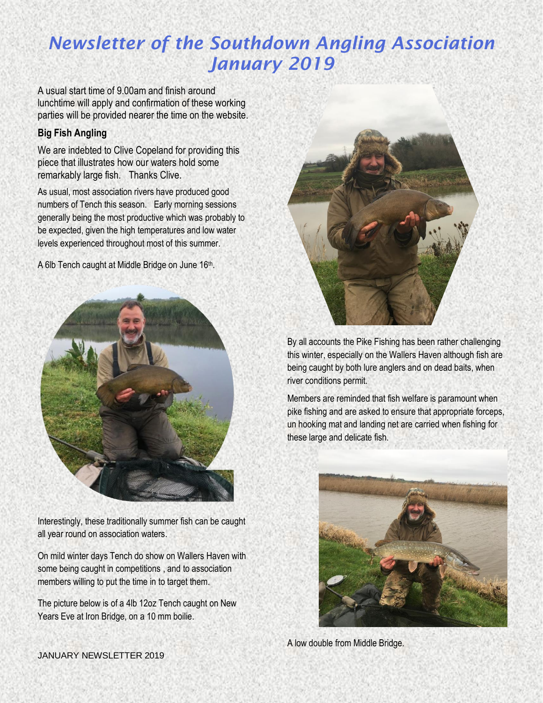A usual start time of 9.00am and finish around lunchtime will apply and confirmation of these working parties will be provided nearer the time on the website.

#### **Big Fish Angling**

We are indebted to Clive Copeland for providing this piece that illustrates how our waters hold some remarkably large fish. Thanks Clive.

As usual, most association rivers have produced good numbers of Tench this season. Early morning sessions generally being the most productive which was probably to be expected, given the high temperatures and low water levels experienced throughout most of this summer.

A 6lb Tench caught at Middle Bridge on June 16<sup>th</sup>.



Interestingly, these traditionally summer fish can be caught all year round on association waters.

On mild winter days Tench do show on Wallers Haven with some being caught in competitions , and to association members willing to put the time in to target them.

The picture below is of a 4lb 12oz Tench caught on New Years Eve at Iron Bridge, on a 10 mm boilie.



By all accounts the Pike Fishing has been rather challenging this winter, especially on the Wallers Haven although fish are being caught by both lure anglers and on dead baits, when river conditions permit.

Members are reminded that fish welfare is paramount when pike fishing and are asked to ensure that appropriate forceps, un hooking mat and landing net are carried when fishing for these large and delicate fish.



A low double from Middle Bridge.

JANUARY NEWSLETTER 2019